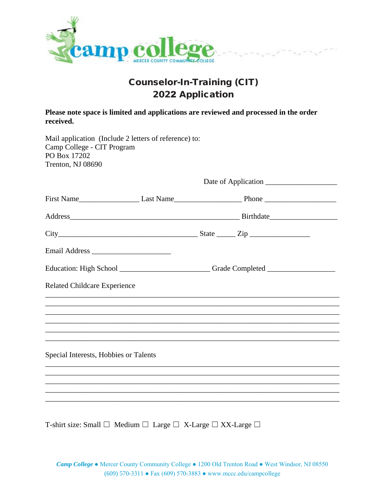

## Counselor-In-Training (CIT) 2022 Application

**Please note space is limited and applications are reviewed and processed in the order received.**

| Mail application (Include 2 letters of reference) to:<br>Camp College - CIT Program<br>PO Box 17202<br>Trenton, NJ 08690 |  |                                                                                                                                                                                                                                     |  |  |  |
|--------------------------------------------------------------------------------------------------------------------------|--|-------------------------------------------------------------------------------------------------------------------------------------------------------------------------------------------------------------------------------------|--|--|--|
|                                                                                                                          |  |                                                                                                                                                                                                                                     |  |  |  |
|                                                                                                                          |  | First Name <u> Last Name Last Name Last Name Last Name</u> Dhone Last Name Last Name Last Name Last Name Last Name Last Name Last Name Last Name Last Name Last Name Last Name Last Name Last Name Last Name Last Name Last Name La |  |  |  |
|                                                                                                                          |  |                                                                                                                                                                                                                                     |  |  |  |
| $City$ $City$ $Step$ $Zip$                                                                                               |  |                                                                                                                                                                                                                                     |  |  |  |
|                                                                                                                          |  |                                                                                                                                                                                                                                     |  |  |  |
|                                                                                                                          |  | Education: High School __________________________Grade Completed ________________                                                                                                                                                   |  |  |  |
| <b>Related Childcare Experience</b>                                                                                      |  |                                                                                                                                                                                                                                     |  |  |  |
|                                                                                                                          |  |                                                                                                                                                                                                                                     |  |  |  |
|                                                                                                                          |  |                                                                                                                                                                                                                                     |  |  |  |
|                                                                                                                          |  |                                                                                                                                                                                                                                     |  |  |  |
| Special Interests, Hobbies or Talents                                                                                    |  |                                                                                                                                                                                                                                     |  |  |  |
|                                                                                                                          |  |                                                                                                                                                                                                                                     |  |  |  |
|                                                                                                                          |  | ,我们也不能在这里的时候,我们也不能在这里的时候,我们也不能在这里的时候,我们也不能会不能会不能会不能会不能会不能会不能会不能会。<br>第2012章 我们的时候,我们的时候,我们的时候,我们的时候,我们的时候,我们的时候,我们的时候,我们的时候,我们的时候,我们的时候,我们的时候,我们的时候,我                                                                               |  |  |  |
|                                                                                                                          |  |                                                                                                                                                                                                                                     |  |  |  |

T-shirt size: Small ☐ Medium ☐ Large ☐ X-Large ☐ XX-Large ☐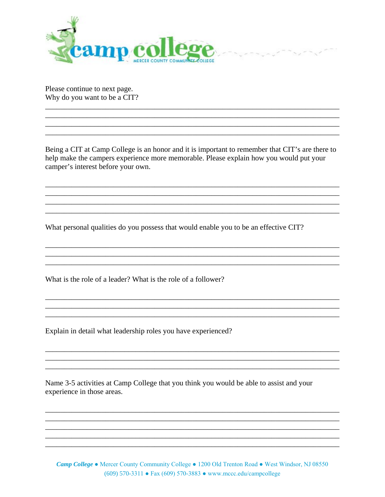

Please continue to next page. Why do you want to be a CIT?

Being a CIT at Camp College is an honor and it is important to remember that CIT's are there to help make the campers experience more memorable. Please explain how you would put your camper's interest before your own.

 $x = 1, 2, 3$ 

What personal qualities do you possess that would enable you to be an effective CIT?

What is the role of a leader? What is the role of a follower?

Explain in detail what leadership roles you have experienced?

Name 3-5 activities at Camp College that you think you would be able to assist and your experience in those areas.

<u> 1989 - Johann Stoff, amerikansk politiker (d. 1989)</u>

**Camp College .** Mercer County Community College . 1200 Old Trenton Road . West Windsor, NJ 08550  $(609)$  570-3311 • Fax (609) 570-3883 • www.mccc.edu/campcollege